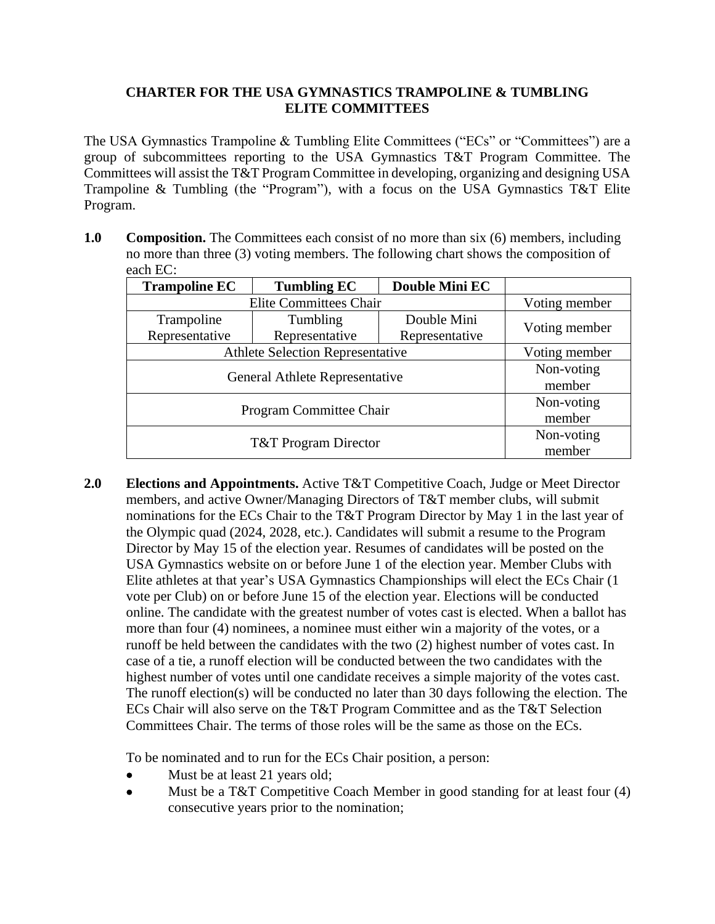## **CHARTER FOR THE USA GYMNASTICS TRAMPOLINE & TUMBLING ELITE COMMITTEES**

The USA Gymnastics Trampoline & Tumbling Elite Committees ("ECs" or "Committees") are a group of subcommittees reporting to the USA Gymnastics T&T Program Committee. The Committees will assist the T&T Program Committee in developing, organizing and designing USA Trampoline & Tumbling (the "Program"), with a focus on the USA Gymnastics T&T Elite Program.

**1.0 Composition.** The Committees each consist of no more than six (6) members, including no more than three (3) voting members. The following chart shows the composition of each EC:

| <b>Trampoline EC</b>                    | <b>Tumbling EC</b> | Double Mini EC |               |
|-----------------------------------------|--------------------|----------------|---------------|
| <b>Elite Committees Chair</b>           |                    |                | Voting member |
| Trampoline                              | Tumbling           | Double Mini    | Voting member |
| Representative                          | Representative     | Representative |               |
| <b>Athlete Selection Representative</b> |                    |                | Voting member |
| General Athlete Representative          |                    |                | Non-voting    |
|                                         |                    |                | member        |
| <b>Program Committee Chair</b>          |                    |                | Non-voting    |
|                                         |                    |                | member        |
| <b>T&amp;T</b> Program Director         |                    |                | Non-voting    |
|                                         |                    |                | member        |

**2.0 Elections and Appointments.** Active T&T Competitive Coach, Judge or Meet Director members, and active Owner/Managing Directors of T&T member clubs, will submit nominations for the ECs Chair to the T&T Program Director by May 1 in the last year of the Olympic quad (2024, 2028, etc.). Candidates will submit a resume to the Program Director by May 15 of the election year. Resumes of candidates will be posted on the USA Gymnastics website on or before June 1 of the election year. Member Clubs with Elite athletes at that year's USA Gymnastics Championships will elect the ECs Chair (1 vote per Club) on or before June 15 of the election year. Elections will be conducted online. The candidate with the greatest number of votes cast is elected. When a ballot has more than four (4) nominees, a nominee must either win a majority of the votes, or a runoff be held between the candidates with the two (2) highest number of votes cast. In case of a tie, a runoff election will be conducted between the two candidates with the highest number of votes until one candidate receives a simple majority of the votes cast. The runoff election(s) will be conducted no later than 30 days following the election. The ECs Chair will also serve on the T&T Program Committee and as the T&T Selection Committees Chair. The terms of those roles will be the same as those on the ECs.

To be nominated and to run for the ECs Chair position, a person:

- Must be at least 21 years old;
- Must be a T&T Competitive Coach Member in good standing for at least four (4) consecutive years prior to the nomination;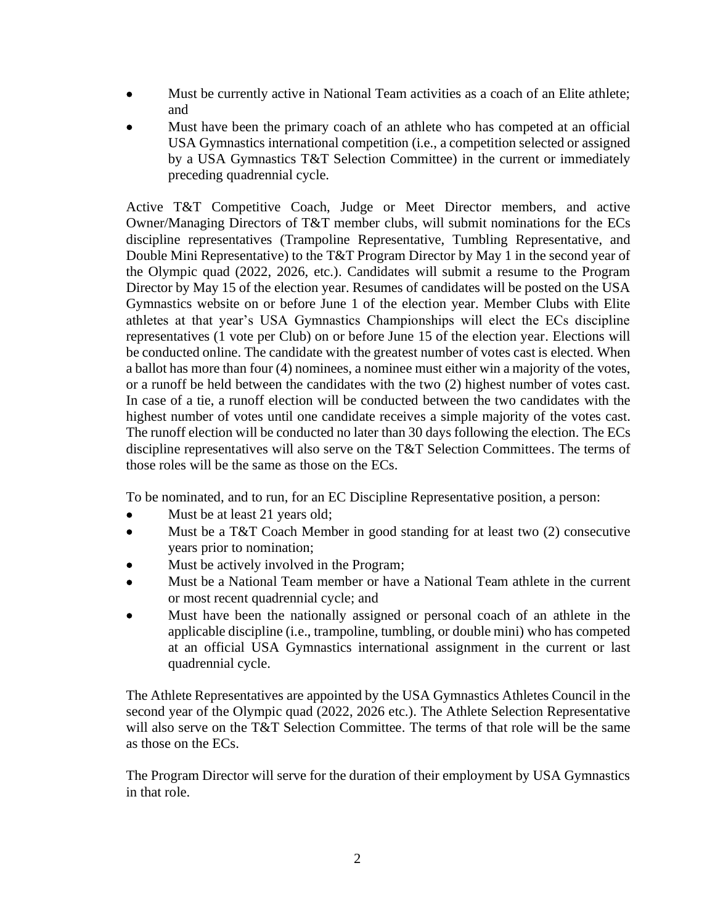- Must be currently active in National Team activities as a coach of an Elite athlete; and
- Must have been the primary coach of an athlete who has competed at an official USA Gymnastics international competition (i.e., a competition selected or assigned by a USA Gymnastics T&T Selection Committee) in the current or immediately preceding quadrennial cycle.

Active T&T Competitive Coach, Judge or Meet Director members, and active Owner/Managing Directors of T&T member clubs, will submit nominations for the ECs discipline representatives (Trampoline Representative, Tumbling Representative, and Double Mini Representative) to the T&T Program Director by May 1 in the second year of the Olympic quad (2022, 2026, etc.). Candidates will submit a resume to the Program Director by May 15 of the election year. Resumes of candidates will be posted on the USA Gymnastics website on or before June 1 of the election year. Member Clubs with Elite athletes at that year's USA Gymnastics Championships will elect the ECs discipline representatives (1 vote per Club) on or before June 15 of the election year. Elections will be conducted online. The candidate with the greatest number of votes cast is elected. When a ballot has more than four (4) nominees, a nominee must either win a majority of the votes, or a runoff be held between the candidates with the two (2) highest number of votes cast. In case of a tie, a runoff election will be conducted between the two candidates with the highest number of votes until one candidate receives a simple majority of the votes cast. The runoff election will be conducted no later than 30 days following the election. The ECs discipline representatives will also serve on the T&T Selection Committees. The terms of those roles will be the same as those on the ECs.

To be nominated, and to run, for an EC Discipline Representative position, a person:

- Must be at least 21 years old;
- Must be a T&T Coach Member in good standing for at least two (2) consecutive years prior to nomination;
- Must be actively involved in the Program;
- Must be a National Team member or have a National Team athlete in the current or most recent quadrennial cycle; and
- Must have been the nationally assigned or personal coach of an athlete in the applicable discipline (i.e., trampoline, tumbling, or double mini) who has competed at an official USA Gymnastics international assignment in the current or last quadrennial cycle.

The Athlete Representatives are appointed by the USA Gymnastics Athletes Council in the second year of the Olympic quad (2022, 2026 etc.). The Athlete Selection Representative will also serve on the T&T Selection Committee. The terms of that role will be the same as those on the ECs.

The Program Director will serve for the duration of their employment by USA Gymnastics in that role.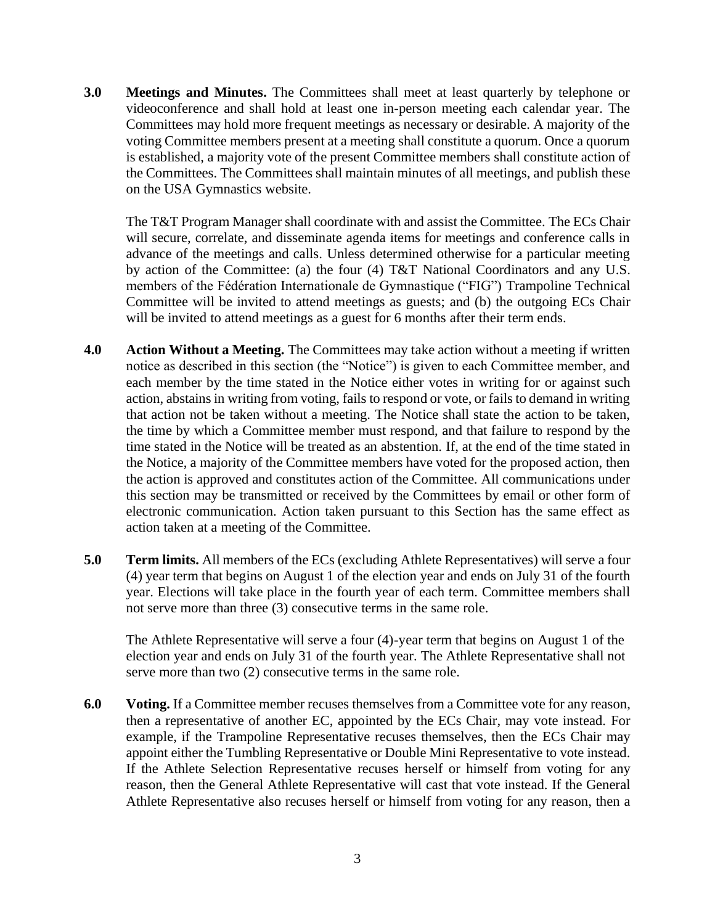**3.0 Meetings and Minutes.** The Committees shall meet at least quarterly by telephone or videoconference and shall hold at least one in-person meeting each calendar year. The Committees may hold more frequent meetings as necessary or desirable. A majority of the voting Committee members present at a meeting shall constitute a quorum. Once a quorum is established, a majority vote of the present Committee members shall constitute action of the Committees. The Committees shall maintain minutes of all meetings, and publish these on the USA Gymnastics website.

The T&T Program Manager shall coordinate with and assist the Committee. The ECs Chair will secure, correlate, and disseminate agenda items for meetings and conference calls in advance of the meetings and calls. Unless determined otherwise for a particular meeting by action of the Committee: (a) the four (4) T&T National Coordinators and any U.S. members of the Fédération Internationale de Gymnastique ("FIG") Trampoline Technical Committee will be invited to attend meetings as guests; and (b) the outgoing ECs Chair will be invited to attend meetings as a guest for 6 months after their term ends.

- **4.0 Action Without a Meeting.** The Committees may take action without a meeting if written notice as described in this section (the "Notice") is given to each Committee member, and each member by the time stated in the Notice either votes in writing for or against such action, abstains in writing from voting, fails to respond or vote, or fails to demand in writing that action not be taken without a meeting. The Notice shall state the action to be taken, the time by which a Committee member must respond, and that failure to respond by the time stated in the Notice will be treated as an abstention. If, at the end of the time stated in the Notice, a majority of the Committee members have voted for the proposed action, then the action is approved and constitutes action of the Committee. All communications under this section may be transmitted or received by the Committees by email or other form of electronic communication. Action taken pursuant to this Section has the same effect as action taken at a meeting of the Committee.
- **5.0 Term limits.** All members of the ECs (excluding Athlete Representatives) will serve a four (4) year term that begins on August 1 of the election year and ends on July 31 of the fourth year. Elections will take place in the fourth year of each term. Committee members shall not serve more than three (3) consecutive terms in the same role.

The Athlete Representative will serve a four (4)-year term that begins on August 1 of the election year and ends on July 31 of the fourth year. The Athlete Representative shall not serve more than two (2) consecutive terms in the same role.

**6.0 Voting.** If a Committee member recuses themselves from a Committee vote for any reason, then a representative of another EC, appointed by the ECs Chair, may vote instead. For example, if the Trampoline Representative recuses themselves, then the ECs Chair may appoint either the Tumbling Representative or Double Mini Representative to vote instead. If the Athlete Selection Representative recuses herself or himself from voting for any reason, then the General Athlete Representative will cast that vote instead. If the General Athlete Representative also recuses herself or himself from voting for any reason, then a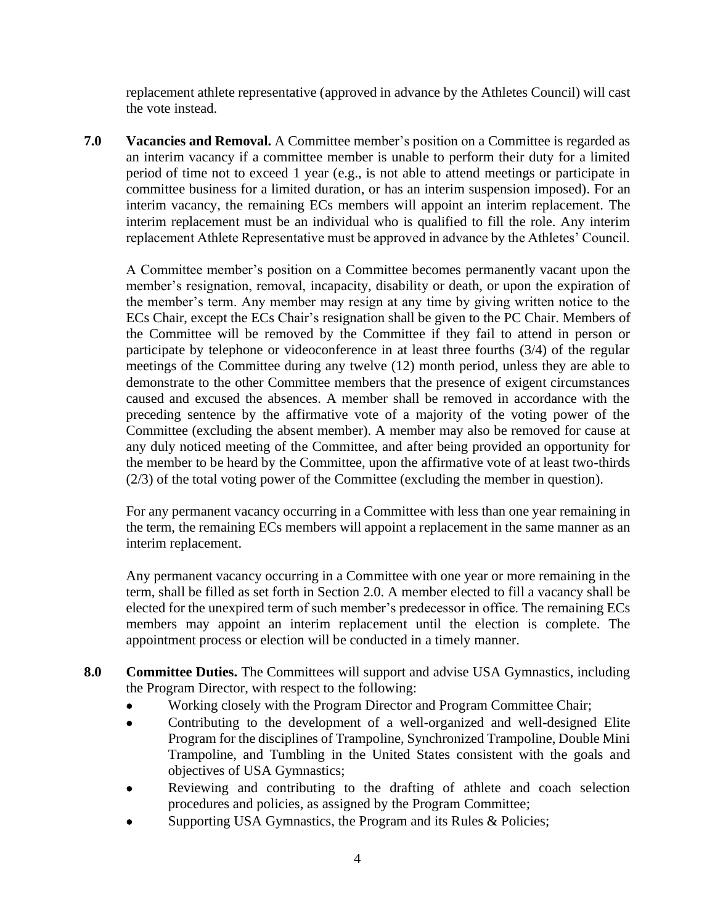replacement athlete representative (approved in advance by the Athletes Council) will cast the vote instead.

**7.0 Vacancies and Removal.** A Committee member's position on a Committee is regarded as an interim vacancy if a committee member is unable to perform their duty for a limited period of time not to exceed 1 year (e.g., is not able to attend meetings or participate in committee business for a limited duration, or has an interim suspension imposed). For an interim vacancy, the remaining ECs members will appoint an interim replacement. The interim replacement must be an individual who is qualified to fill the role. Any interim replacement Athlete Representative must be approved in advance by the Athletes' Council.

A Committee member's position on a Committee becomes permanently vacant upon the member's resignation, removal, incapacity, disability or death, or upon the expiration of the member's term. Any member may resign at any time by giving written notice to the ECs Chair, except the ECs Chair's resignation shall be given to the PC Chair. Members of the Committee will be removed by the Committee if they fail to attend in person or participate by telephone or videoconference in at least three fourths (3/4) of the regular meetings of the Committee during any twelve (12) month period, unless they are able to demonstrate to the other Committee members that the presence of exigent circumstances caused and excused the absences. A member shall be removed in accordance with the preceding sentence by the affirmative vote of a majority of the voting power of the Committee (excluding the absent member). A member may also be removed for cause at any duly noticed meeting of the Committee, and after being provided an opportunity for the member to be heard by the Committee, upon the affirmative vote of at least two-thirds (2/3) of the total voting power of the Committee (excluding the member in question).

For any permanent vacancy occurring in a Committee with less than one year remaining in the term, the remaining ECs members will appoint a replacement in the same manner as an interim replacement.

Any permanent vacancy occurring in a Committee with one year or more remaining in the term, shall be filled as set forth in Section 2.0. A member elected to fill a vacancy shall be elected for the unexpired term of such member's predecessor in office. The remaining ECs members may appoint an interim replacement until the election is complete. The appointment process or election will be conducted in a timely manner.

- **8.0 Committee Duties.** The Committees will support and advise USA Gymnastics, including the Program Director, with respect to the following:
	- Working closely with the Program Director and Program Committee Chair;
	- Contributing to the development of a well-organized and well-designed Elite Program for the disciplines of Trampoline, Synchronized Trampoline, Double Mini Trampoline, and Tumbling in the United States consistent with the goals and objectives of USA Gymnastics;
	- Reviewing and contributing to the drafting of athlete and coach selection procedures and policies, as assigned by the Program Committee;
	- Supporting USA Gymnastics, the Program and its Rules & Policies;